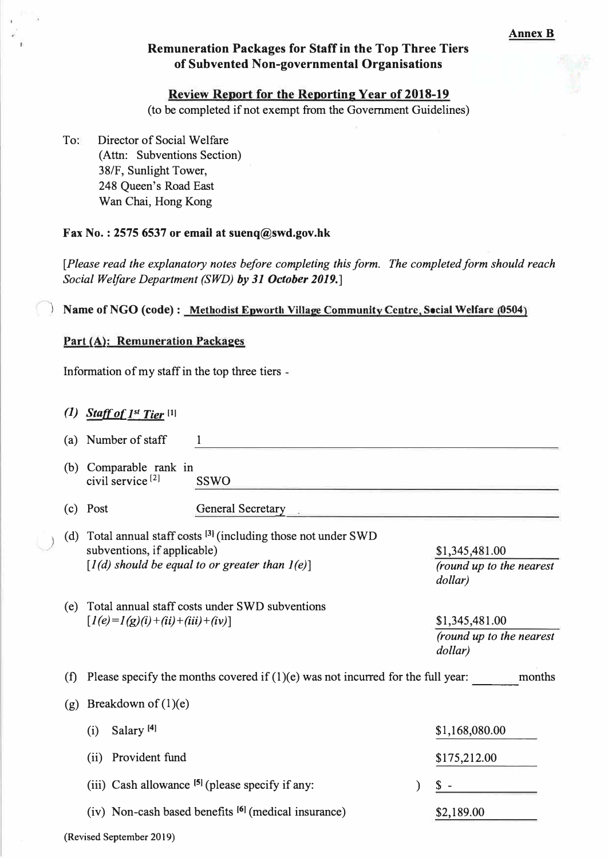### **Remuneration Packages for Staff in the Top Three Tiers of Subvented Non-governmental Organisations**

#### **Review Report for the Reporting Year of 2018-19**

**(to be completed if not exempt from the Government Guidelines)** 

**To: Director of Social Welfare (Attn: Subventions Section) 38/F, Sunlight Tower, 248 Queen's Road East Wan Chai, Hong Kong** 

#### **Fax No.: 2575 6537 or email at suenq@swd.gov.hk**

**[Please read the explanatory notes before completing this form. The completed form should reach Social Welfare Department (SWD) by 31 October 2019.]** 

#### **Name of NGO (code):** Methodist Epworth Village Community Centre, Social Welfare (0504)

#### **Part (A): Remuneration Packages**

**Information of my staff in the top three tiers** 

**(1) <u>Staff of 1<sup>st</sup> Tier</u>** [1]

**(Revised September 2019)** 

| (a) | Number of staff                                                                                                                                            |                                                                 |                                                       |  |
|-----|------------------------------------------------------------------------------------------------------------------------------------------------------------|-----------------------------------------------------------------|-------------------------------------------------------|--|
|     | (b) Comparable rank in<br>civil service <sup>[2]</sup>                                                                                                     | <b>SSWO</b>                                                     |                                                       |  |
| (c) | Post                                                                                                                                                       | <b>General Secretary</b>                                        |                                                       |  |
|     | (d) Total annual staff costs $^{[3]}$ (including those not under SWD<br>subventions, if applicable)<br>$[1(d)$ should be equal to or greater than $1(e)$ ] |                                                                 | \$1,345,481.00<br>(round up to the nearest<br>dollar) |  |
| (e) | Total annual staff costs under SWD subventions<br>$[1(e)=1(g)(i)+(ii)+(iii)+(iv)]$                                                                         |                                                                 | \$1,345,481.00<br>(round up to the nearest<br>dollar) |  |
| (f) | Please specify the months covered if $(1)(e)$ was not incurred for the full year:<br>months                                                                |                                                                 |                                                       |  |
| (g) | Breakdown of $(1)(e)$                                                                                                                                      |                                                                 |                                                       |  |
|     | Salary <sup>[4]</sup><br>(i)                                                                                                                               |                                                                 | \$1,168,080.00                                        |  |
|     | Provident fund<br>(ii)                                                                                                                                     |                                                                 | \$175,212.00                                          |  |
|     |                                                                                                                                                            | (iii) Cash allowance $[5]$ (please specify if any:              |                                                       |  |
|     |                                                                                                                                                            | (iv) Non-cash based benefits <sup>[6]</sup> (medical insurance) | \$2,189.00                                            |  |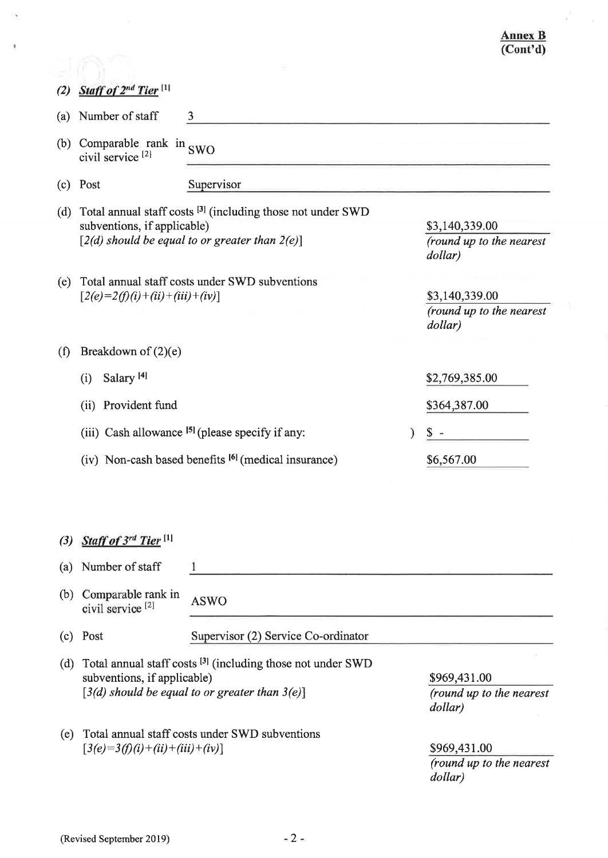#### **Annex B**  $\overline{(Cont'd)}$

| (2) | Staff of 2 <sup>nd</sup> Tier <sup>[1]</sup>                                                                                                                 |                                                                 |  |                                                       |
|-----|--------------------------------------------------------------------------------------------------------------------------------------------------------------|-----------------------------------------------------------------|--|-------------------------------------------------------|
| (a) | Number of staff                                                                                                                                              | 3                                                               |  |                                                       |
| (b) | Comparable rank in $SWO$<br>civil service <sup>[2]</sup>                                                                                                     |                                                                 |  |                                                       |
| (c) | Post                                                                                                                                                         | Supervisor                                                      |  |                                                       |
| (d) | Total annual staff costs <sup>[3]</sup> (including those not under SWD<br>subventions, if applicable)<br>$[2(d)$ should be equal to or greater than $2(e)$ ] |                                                                 |  | \$3,140,339.00<br>(round up to the nearest<br>dollar) |
| (e) | $[2(e)=2(f)(i)+(ii)+(iii)+(iv)]$                                                                                                                             | Total annual staff costs under SWD subventions                  |  | \$3,140,339.00<br>(round up to the nearest<br>dollar) |
| (f) | Breakdown of $(2)(e)$                                                                                                                                        |                                                                 |  |                                                       |
|     | Salary <sup>[4]</sup><br>(i)                                                                                                                                 |                                                                 |  | \$2,769,385.00                                        |
|     | Provident fund<br>(ii)                                                                                                                                       |                                                                 |  | \$364,387.00                                          |
|     |                                                                                                                                                              | (iii) Cash allowance $[5]$ (please specify if any:              |  | S.                                                    |
|     |                                                                                                                                                              | (iv) Non-cash based benefits <sup>[6]</sup> (medical insurance) |  | \$6,567.00                                            |
| (3) | Staff of 3rd Tier <sup>[1]</sup>                                                                                                                             |                                                                 |  |                                                       |
| (a) | Number of staff                                                                                                                                              | 1                                                               |  |                                                       |
| (b) | Comparable rank in<br>civil service <sup>[2]</sup>                                                                                                           | <b>ASWO</b>                                                     |  |                                                       |
| (c) | Post                                                                                                                                                         | Supervisor (2) Service Co-ordinator                             |  |                                                       |
| (d) | Total annual staff costs [3] (including those not under SWD<br>subventions, if applicable)<br>$[3(d)$ should be equal to or greater than $3(e)$ ]            |                                                                 |  | \$969,431.00<br>(round up to the nearest<br>dollar)   |
| (e) | Total annual staff costs under SWD subventions                                                                                                               |                                                                 |  |                                                       |

\$969,431.00 (round up to the nearest dollar)

 $[3(e)=3(f)(i)+(ii)+(iii)+(iv)]$ 

 $\mathcal{A}$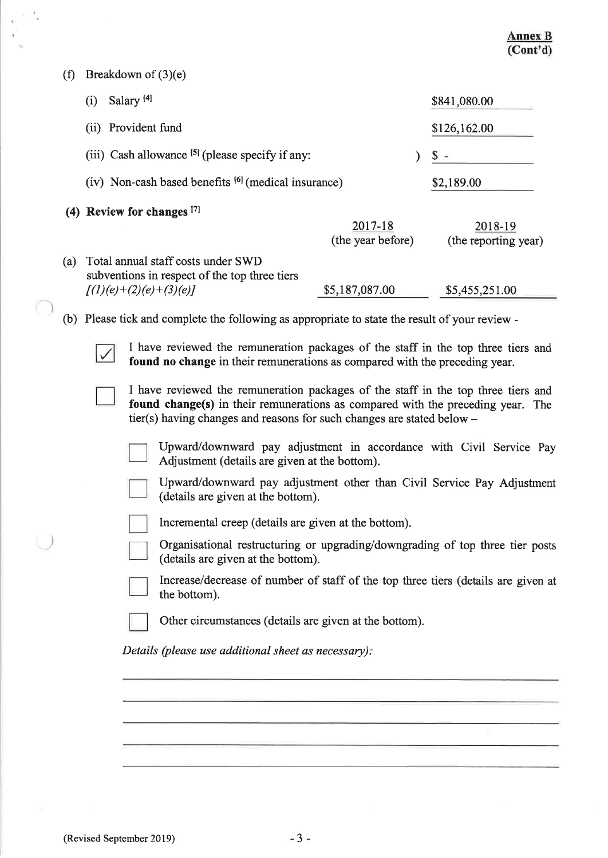(f) Breakdown of  $(3)(e)$ 

 $\tilde{\epsilon}$ 

C,

U

 $\bar{\mathcal{N}}$  $\hat{\mathbf{y}}$ 

 $\mathbb{R}^d$ 

|     | $D$ . $\mathcal{L}$ $\mathcal{L}$ $\mathcal{L}$ $\mathcal{L}$ $\mathcal{L}$ $\mathcal{L}$ $\mathcal{L}$ $\mathcal{L}$ $\mathcal{L}$ $\mathcal{L}$ $\mathcal{L}$ $\mathcal{L}$ $\mathcal{L}$ $\mathcal{L}$ $\mathcal{L}$ $\mathcal{L}$ $\mathcal{L}$ $\mathcal{L}$ $\mathcal{L}$ $\mathcal{L}$ $\mathcal{L}$ $\mathcal{L}$ $\mathcal{L}$ $\mathcal{L}$ |                                                                                   |  |                                 |  |
|-----|-------------------------------------------------------------------------------------------------------------------------------------------------------------------------------------------------------------------------------------------------------------------------------------------------------------------------------------------------------|-----------------------------------------------------------------------------------|--|---------------------------------|--|
|     | Salary <sup>[4]</sup><br>(i)                                                                                                                                                                                                                                                                                                                          |                                                                                   |  | \$841,080.00                    |  |
|     | (ii) Provident fund                                                                                                                                                                                                                                                                                                                                   |                                                                                   |  | \$126,162.00                    |  |
|     | (iii) Cash allowance $[5]$ (please specify if any:                                                                                                                                                                                                                                                                                                    |                                                                                   |  | \$.                             |  |
|     | (iv) Non-cash based benefits <sup>[6]</sup> (medical insurance)                                                                                                                                                                                                                                                                                       |                                                                                   |  | \$2,189.00                      |  |
|     | (4) Review for changes [7]                                                                                                                                                                                                                                                                                                                            |                                                                                   |  |                                 |  |
|     |                                                                                                                                                                                                                                                                                                                                                       | 2017-18<br>(the year before)                                                      |  | 2018-19<br>(the reporting year) |  |
| (a) | Total annual staff costs under SWD<br>subventions in respect of the top three tiers<br>$[(1)(e)+(2)(e)+(3)(e)]$                                                                                                                                                                                                                                       | \$5,187,087.00                                                                    |  | \$5,455,251.00                  |  |
|     | (b) Please tick and complete the following as appropriate to state the result of your review -                                                                                                                                                                                                                                                        |                                                                                   |  |                                 |  |
|     | I have reviewed the remuneration packages of the staff in the top three tiers and<br>found no change in their remunerations as compared with the preceding year.<br>I have reviewed the remuneration packages of the staff in the top three tiers and                                                                                                 |                                                                                   |  |                                 |  |
|     | found change(s) in their remunerations as compared with the preceding year. The<br>tier(s) having changes and reasons for such changes are stated below $-$                                                                                                                                                                                           |                                                                                   |  |                                 |  |
|     | Upward/downward pay adjustment in accordance with Civil Service Pay<br>Adjustment (details are given at the bottom).                                                                                                                                                                                                                                  |                                                                                   |  |                                 |  |
|     | (details are given at the bottom).                                                                                                                                                                                                                                                                                                                    | Upward/downward pay adjustment other than Civil Service Pay Adjustment            |  |                                 |  |
|     | Incremental creep (details are given at the bottom).                                                                                                                                                                                                                                                                                                  |                                                                                   |  |                                 |  |
|     | Organisational restructuring or upgrading/downgrading of top three tier posts<br>(details are given at the bottom).                                                                                                                                                                                                                                   |                                                                                   |  |                                 |  |
|     | the bottom).                                                                                                                                                                                                                                                                                                                                          | Increase/decrease of number of staff of the top three tiers (details are given at |  |                                 |  |
|     |                                                                                                                                                                                                                                                                                                                                                       | Other circumstances (details are given at the bottom).                            |  |                                 |  |
|     | Details (please use additional sheet as necessary):                                                                                                                                                                                                                                                                                                   |                                                                                   |  |                                 |  |
|     |                                                                                                                                                                                                                                                                                                                                                       |                                                                                   |  |                                 |  |
|     |                                                                                                                                                                                                                                                                                                                                                       |                                                                                   |  |                                 |  |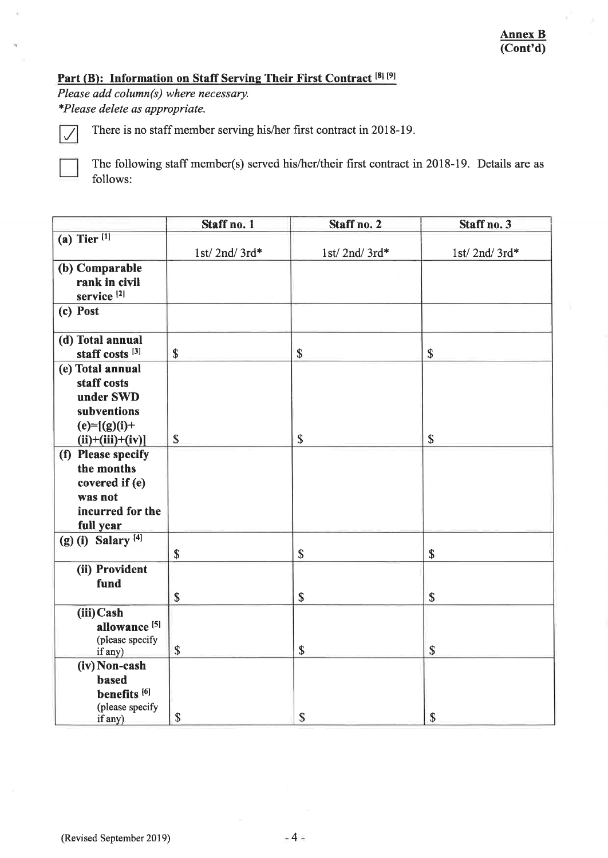# Part (B): Information on Staff Serving Their First Contract<sup>[8][9]</sup>

Please add column(s) where necessary. \*Please delete as appropriate.

 $\sqrt{}$ 

There is no staff member serving his/her first contract in 2018-19.

The following staff member(s) served his/her/their first contract in 2018-19. Details are as follows:

|                                  | Staff no. 1               | Staff no. 2  | Staff no. 3               |
|----------------------------------|---------------------------|--------------|---------------------------|
| (a) Tier $[1]$                   |                           |              |                           |
|                                  | 1st/2nd/3rd*              | 1st/2nd/3rd* | 1st/2nd/3rd*              |
| (b) Comparable                   |                           |              |                           |
| rank in civil                    |                           |              |                           |
| service <sup>[2]</sup>           |                           |              |                           |
| (c) Post                         |                           |              |                           |
|                                  |                           |              |                           |
| (d) Total annual                 |                           |              |                           |
| staff costs <sup>[3]</sup>       | $\boldsymbol{\mathsf{S}}$ | \$           | \$                        |
| (e) Total annual                 |                           |              |                           |
| staff costs                      |                           |              |                           |
| under SWD                        |                           |              |                           |
| subventions                      |                           |              |                           |
| $(e)=[(g)(i)+$                   |                           |              |                           |
| $(ii)+(iii)+(iv)]$               | \$                        | \$           | \$                        |
| (f) Please specify<br>the months |                           |              |                           |
|                                  |                           |              |                           |
| covered if (e)<br>was not        |                           |              |                           |
| incurred for the                 |                           |              |                           |
| full year                        |                           |              |                           |
| (g) (i) Salary $^{[4]}$          |                           |              |                           |
|                                  | $\boldsymbol{\mathsf{S}}$ | $\mathbb{S}$ | \$                        |
| (ii) Provident                   |                           |              |                           |
| fund                             |                           |              |                           |
|                                  | \$                        | \$           | $\boldsymbol{\mathsf{S}}$ |
| (iii) Cash                       |                           |              |                           |
| allowance <sup>[5]</sup>         |                           |              |                           |
| (please specify                  |                           |              |                           |
| if any)                          | \$                        | \$           | \$                        |
| (iv) Non-cash                    |                           |              |                           |
| based                            |                           |              |                           |
| benefits <sup>[6]</sup>          |                           |              |                           |
| (please specify                  | \$                        | \$           | \$                        |
| if any)                          |                           |              |                           |